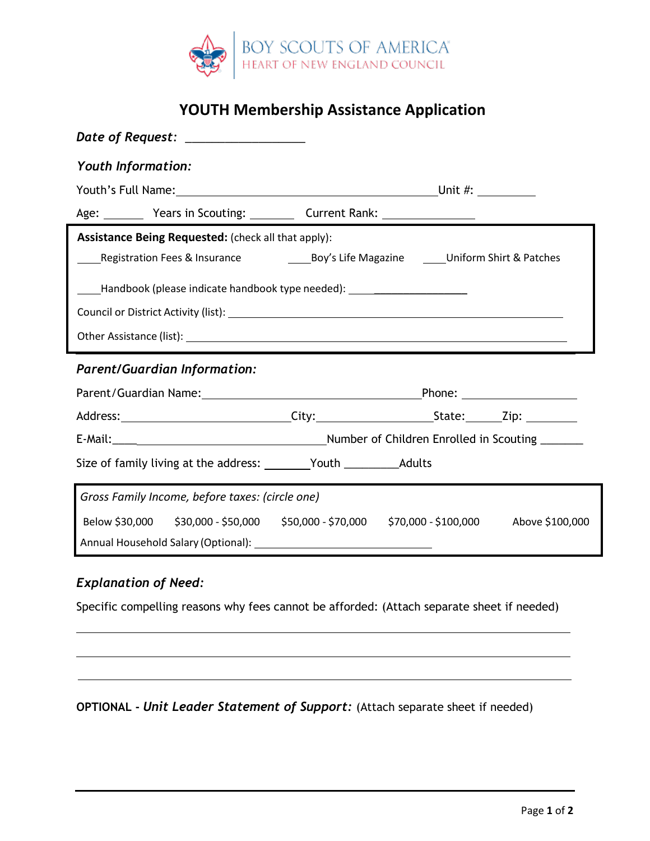

# **YOUTH Membership Assistance Application**

| Date of Request: __________________                                                             |  |  |  |  |
|-------------------------------------------------------------------------------------------------|--|--|--|--|
| <b>Youth Information:</b>                                                                       |  |  |  |  |
|                                                                                                 |  |  |  |  |
| Age: Vears in Scouting: Current Rank: National Scouting Manages (Network Assembly Manages 2014) |  |  |  |  |
| <b>Assistance Being Requested:</b> (check all that apply):                                      |  |  |  |  |
| Registration Fees & Insurance The Sov's Life Magazine Community & Patches                       |  |  |  |  |
| ______Handbook (please indicate handbook type needed): _________________________                |  |  |  |  |
|                                                                                                 |  |  |  |  |
|                                                                                                 |  |  |  |  |
| <b>Parent/Guardian Information:</b>                                                             |  |  |  |  |
|                                                                                                 |  |  |  |  |
|                                                                                                 |  |  |  |  |
|                                                                                                 |  |  |  |  |
|                                                                                                 |  |  |  |  |
| Gross Family Income, before taxes: (circle one)                                                 |  |  |  |  |
| Below \$30,000 \$30,000 - \$50,000 \$50,000 - \$70,000 \$70,000 - \$100,000 Above \$100,000     |  |  |  |  |

## *Explanation of Need:*

Specific compelling reasons why fees cannot be afforded: (Attach separate sheet if needed)

**OPTIONAL -** *Unit Leader Statement of Support:* (Attach separate sheet if needed)